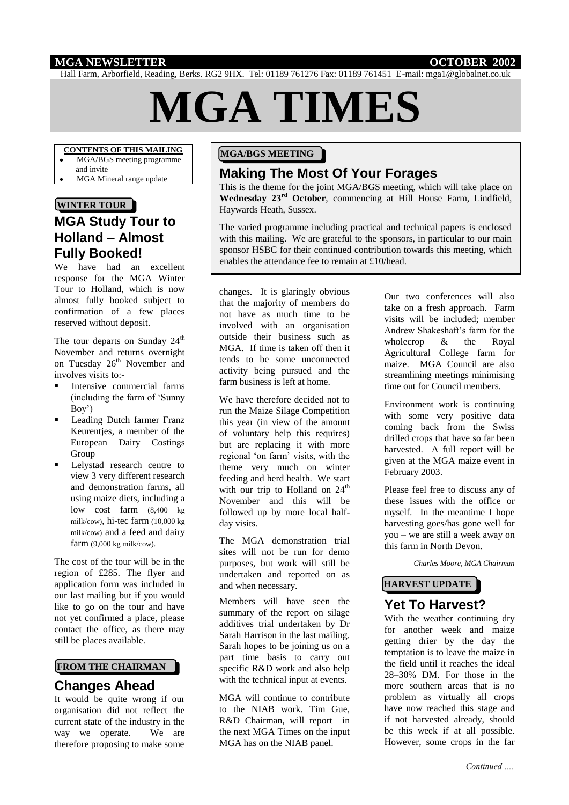#### **MGA NEWSLETTER OCTOBER 2002**

Hall Farm, Arborfield, Reading, Berks. RG2 9HX. Tel: 01189 761276 Fax: 01189 761451 E-mail: mga1@globalnet.co.uk

# **MGA TIMES**

### **CONTENTS OF THIS MAILING**

- MGA/BGS meeting programme
- and invite
- MGA Mineral range update

#### **WINTER TOUR**

# **MGA Study Tour to Holland – Almost Fully Booked!**

We have had an excellent response for the MGA Winter Tour to Holland, which is now almost fully booked subject to confirmation of a few places reserved without deposit.

The tour departs on Sunday 24<sup>th</sup> November and returns overnight on Tuesday 26<sup>th</sup> November and involves visits to:-

- Intensive commercial farms (including the farm of 'Sunny Boy')
- **Leading Dutch farmer Franz** Keurentjes, a member of the European Dairy Costings Group
- Lelystad research centre to view 3 very different research and demonstration farms, all using maize diets, including a low cost farm (8,400 kg milk/cow), hi-tec farm (10,000 kg milk/cow) and a feed and dairy farm (9,000 kg milk/cow).

The cost of the tour will be in the region of £285. The flyer and application form was included in our last mailing but if you would like to go on the tour and have not yet confirmed a place, please contact the office, as there may still be places available.

## **FROM THE CHAIRMAN**

#### **Changes Ahead**

It would be quite wrong if our organisation did not reflect the current state of the industry in the way we operate. We are therefore proposing to make some

#### **MGA/BGS MEETING**

# **Making The Most Of Your Forages**

This is the theme for the joint MGA/BGS meeting, which will take place on **Wednesday 23rd October**, commencing at Hill House Farm, Lindfield, Haywards Heath, Sussex.

The varied programme including practical and technical papers is enclosed with this mailing. We are grateful to the sponsors, in particular to our main sponsor HSBC for their continued contribution towards this meeting, which enables the attendance fee to remain at £10/head.

changes. It is glaringly obvious that the majority of members do not have as much time to be involved with an organisation outside their business such as MGA. If time is taken off then it tends to be some unconnected activity being pursued and the farm business is left at home.

We have therefore decided not to run the Maize Silage Competition this year (in view of the amount of voluntary help this requires) but are replacing it with more regional 'on farm' visits, with the theme very much on winter feeding and herd health. We start with our trip to Holland on  $24<sup>th</sup>$ November and this will be followed up by more local halfday visits.

The MGA demonstration trial sites will not be run for demo purposes, but work will still be undertaken and reported on as and when necessary.

Members will have seen the summary of the report on silage additives trial undertaken by Dr Sarah Harrison in the last mailing. Sarah hopes to be joining us on a part time basis to carry out specific R&D work and also help with the technical input at events.

MGA will continue to contribute to the NIAB work. Tim Gue, R&D Chairman, will report in the next MGA Times on the input MGA has on the NIAB panel.

Our two conferences will also take on a fresh approach. Farm visits will be included; member Andrew Shakeshaft's farm for the wholecrop & the Royal Agricultural College farm for maize. MGA Council are also streamlining meetings minimising time out for Council members.

Environment work is continuing with some very positive data coming back from the Swiss drilled crops that have so far been harvested. A full report will be given at the MGA maize event in February 2003.

Please feel free to discuss any of these issues with the office or myself. In the meantime I hope harvesting goes/has gone well for you – we are still a week away on this farm in North Devon.

*Charles Moore, MGA Chairman*

# **HARVEST UPDATE**

### **Yet To Harvest?**

With the weather continuing dry for another week and maize getting drier by the day the temptation is to leave the maize in the field until it reaches the ideal 28–30% DM. For those in the more southern areas that is no problem as virtually all crops have now reached this stage and if not harvested already, should be this week if at all possible. However, some crops in the far